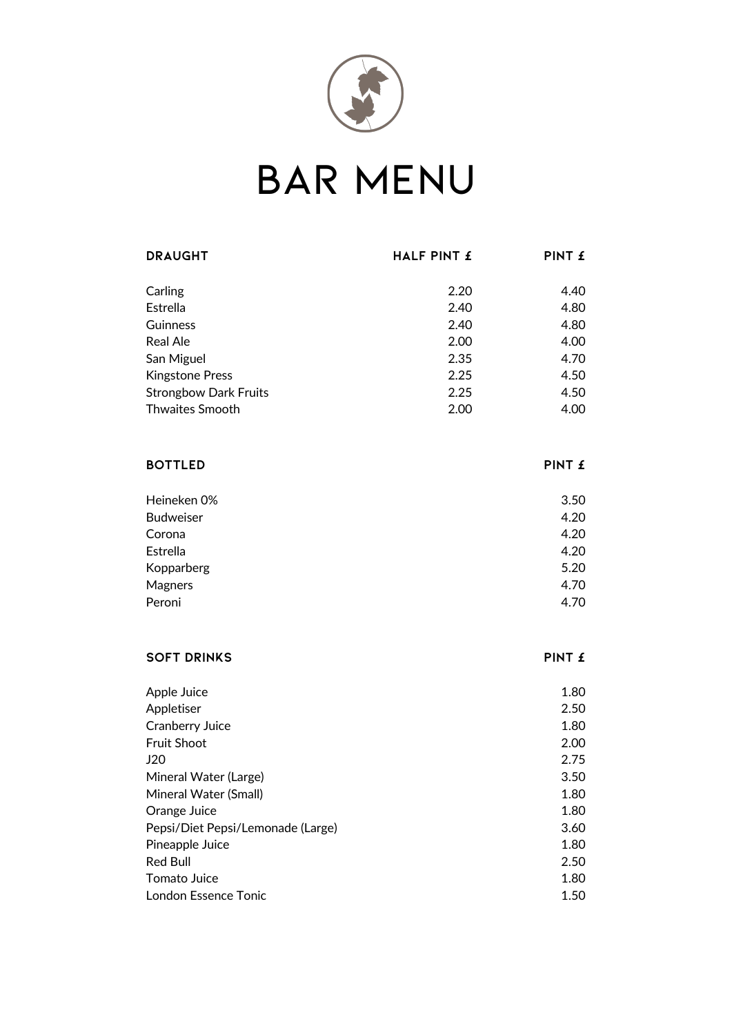

## **BAR MENU**

| <b>DRAUGHT</b>                    | HALF PINT £ | PINT £ |
|-----------------------------------|-------------|--------|
|                                   |             |        |
| Carling                           | 2.20        | 4.40   |
| Estrella                          | 2.40        | 4.80   |
| Guinness                          | 2.40        | 4.80   |
| <b>Real Ale</b>                   | 2.00        | 4.00   |
| San Miguel                        | 2.35        | 4.70   |
| <b>Kingstone Press</b>            | 2.25        | 4.50   |
| <b>Strongbow Dark Fruits</b>      | 2.25        | 4.50   |
| <b>Thwaites Smooth</b>            | 2.00        | 4.00   |
|                                   |             |        |
| <b>BOTTLED</b>                    |             | PINT £ |
| Heineken 0%                       |             | 3.50   |
| <b>Budweiser</b>                  |             | 4.20   |
| Corona                            |             | 4.20   |
| Estrella                          |             | 4.20   |
| Kopparberg                        |             | 5.20   |
| Magners                           |             | 4.70   |
| Peroni                            |             | 4.70   |
|                                   |             |        |
| <b>SOFT DRINKS</b>                |             | PINT £ |
| Apple Juice                       |             | 1.80   |
| Appletiser                        |             | 2.50   |
| Cranberry Juice                   |             | 1.80   |
| <b>Fruit Shoot</b>                |             | 2.00   |
| J20                               |             | 2.75   |
| Mineral Water (Large)             |             | 3.50   |
| Mineral Water (Small)             |             | 1.80   |
| Orange Juice                      |             | 1.80   |
| Pepsi/Diet Pepsi/Lemonade (Large) |             | 3.60   |
| Pineapple Juice                   |             | 1.80   |
| <b>Red Bull</b>                   |             | 2.50   |
| Tomato Juice                      |             | 1.80   |

London Essence Tonic 2008 1.50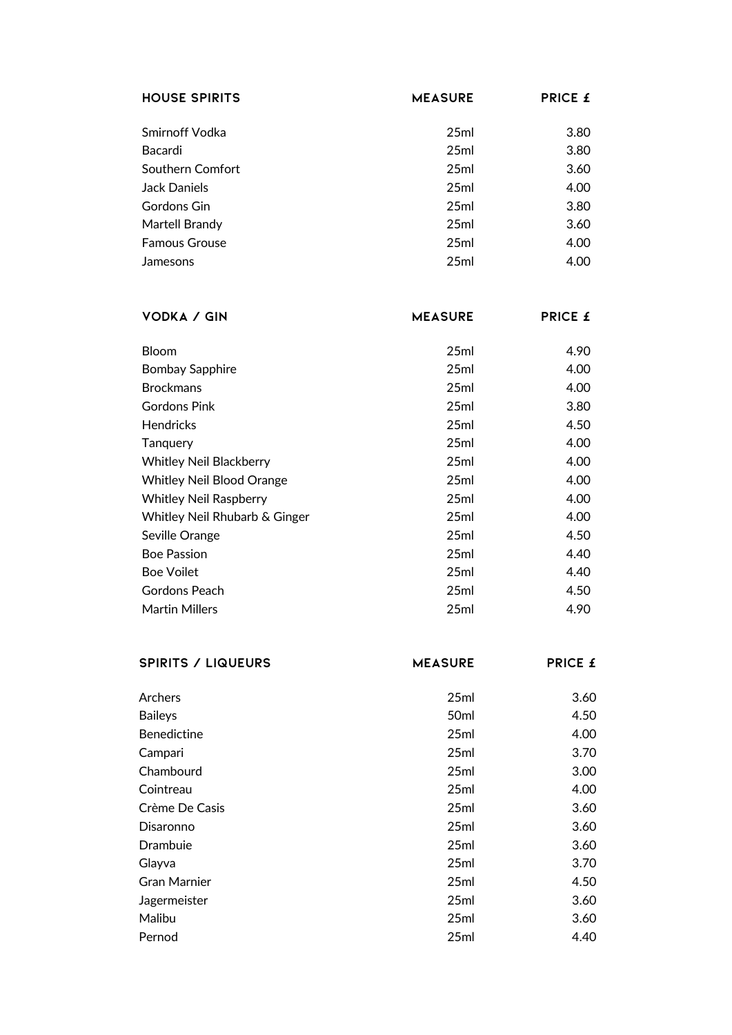| <b>HOUSE SPIRITS</b> | <b>MEASURE</b> | <b>PRICE £</b> |
|----------------------|----------------|----------------|
|                      |                |                |
| Smirnoff Vodka       | 25ml           | 3.80           |
| Bacardi              | 25ml           | 3.80           |
| Southern Comfort     | 25ml           | 3.60           |
| Jack Daniels         | 25ml           | 4.00           |
| Gordons Gin          | 25ml           | 3.80           |
| Martell Brandy       | 25ml           | 3.60           |
| <b>Famous Grouse</b> | 25ml           | 4.00           |
| Jamesons             | 25ml           | 4.00           |

| <b>VODKA / GIN</b>               | <b>MEASURE</b> | <b>PRICE £</b> |
|----------------------------------|----------------|----------------|
|                                  |                |                |
| <b>Bloom</b>                     | 25ml           | 4.90           |
| <b>Bombay Sapphire</b>           | 25ml           | 4.00           |
| <b>Brockmans</b>                 | 25ml           | 4.00           |
| Gordons Pink                     | 25ml           | 3.80           |
| <b>Hendricks</b>                 | 25ml           | 4.50           |
| Tanguery                         | 25ml           | 4.00           |
| Whitley Neil Blackberry          | 25ml           | 4.00           |
| <b>Whitley Neil Blood Orange</b> | 25ml           | 4.00           |
| <b>Whitley Neil Raspberry</b>    | 25ml           | 4.00           |
| Whitley Neil Rhubarb & Ginger    | 25ml           | 4.00           |
| Seville Orange                   | 25ml           | 4.50           |
| <b>Boe Passion</b>               | 25ml           | 4.40           |
| <b>Boe Voilet</b>                | 25ml           | 4.40           |
| Gordons Peach                    | 25ml           | 4.50           |
| <b>Martin Millers</b>            | 25ml           | 4.90           |
|                                  |                |                |

| <b>SPIRITS / LIQUEURS</b> | <b>MEASURE</b>   | <b>PRICE £</b> |
|---------------------------|------------------|----------------|
| Archers                   | 25ml             | 3.60           |
| <b>Baileys</b>            | 50 <sub>ml</sub> | 4.50           |
| <b>Benedictine</b>        | 25ml             | 4.00           |
| Campari                   | 25ml             | 3.70           |
| Chambourd                 | 25ml             | 3.00           |
| Cointreau                 | 25ml             | 4.00           |
| Crème De Casis            | 25ml             | 3.60           |
| Disaronno                 | 25ml             | 3.60           |
| Drambuie                  | 25ml             | 3.60           |
| Glayva                    | 25ml             | 3.70           |
| <b>Gran Marnier</b>       | 25ml             | 4.50           |
| Jagermeister              | 25ml             | 3.60           |
| Malibu                    | 25ml             | 3.60           |
| Pernod                    | 25ml             | 4.40           |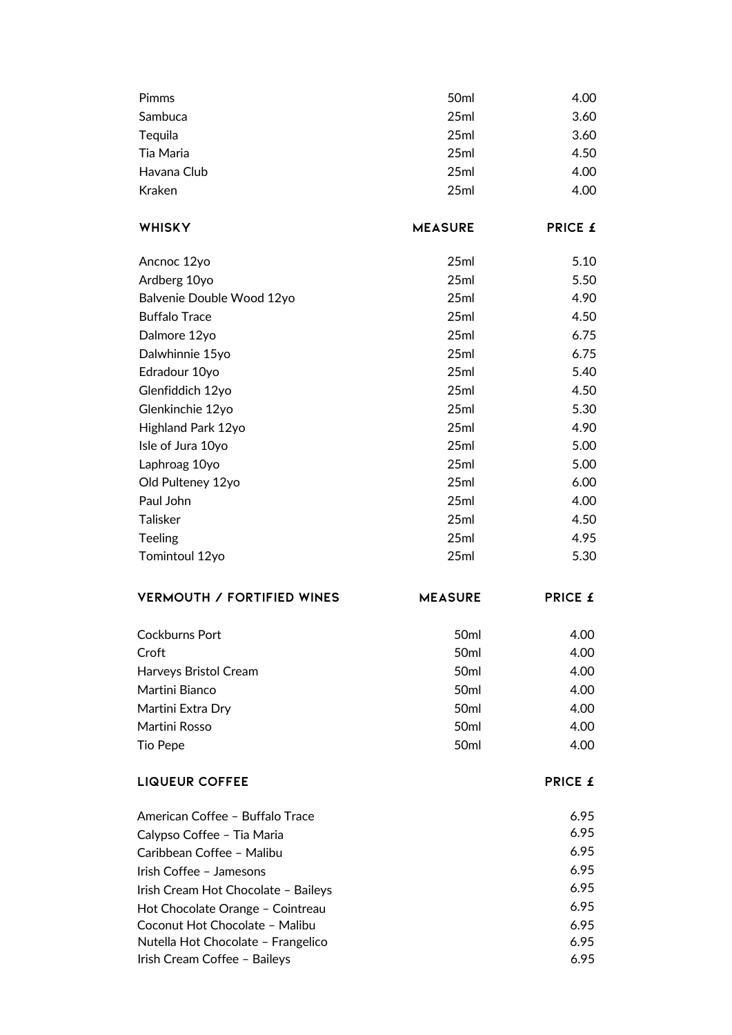| Pimms                               | 50ml             | 4.00           |
|-------------------------------------|------------------|----------------|
| Sambuca                             | 25ml             | 3.60           |
| Tequila                             | 25ml             | 3.60           |
| Tia Maria                           | 25ml             | 4.50           |
| Havana Club                         | 25ml             | 4.00           |
| Kraken                              | 25ml             | 4.00           |
|                                     |                  |                |
| <b>WHISKY</b>                       | <b>MEASURE</b>   | <b>PRICE £</b> |
| Ancnoc 12yo                         | 25ml             | 5.10           |
| Ardberg 10yo                        | 25ml             | 5.50           |
| Balvenie Double Wood 12yo           | 25ml             | 4.90           |
| <b>Buffalo Trace</b>                | 25ml             | 4.50           |
| Dalmore 12yo                        | 25ml             | 6.75           |
| Dalwhinnie 15yo                     | 25ml             | 6.75           |
| Edradour 10yo                       | 25ml             | 5.40           |
| Glenfiddich 12yo                    | 25ml             | 4.50           |
| Glenkinchie 12yo                    | 25ml             | 5.30           |
| Highland Park 12yo                  | 25ml             | 4.90           |
| Isle of Jura 10yo                   | 25ml             | 5.00           |
| Laphroag 10yo                       | 25ml             | 5.00           |
| Old Pulteney 12yo                   | 25ml             | 6.00           |
| Paul John                           | 25ml             | 4.00           |
| <b>Talisker</b>                     | 25ml             | 4.50           |
| <b>Teeling</b>                      | 25ml             | 4.95           |
| Tomintoul 12yo                      | 25ml             | 5.30           |
| <b>VERMOUTH / FORTIFIED WINES</b>   | <b>MEASURE</b>   | PRICE £        |
| Cockburns Port                      | 50ml             | 4.00           |
| Croft                               | 50ml             | 4.00           |
| Harveys Bristol Cream               | 50ml             | 4.00           |
| Martini Bianco                      | 50 <sub>ml</sub> | 4.00           |
| Martini Extra Dry                   | 50ml             | 4.00           |
| Martini Rosso                       | 50ml             | 4.00           |
| <b>Tio Pepe</b>                     | 50ml             | 4.00           |
| <b>LIQUEUR COFFEE</b>               |                  | <b>PRICE £</b> |
| American Coffee - Buffalo Trace     |                  | 6.95           |
| Calypso Coffee - Tia Maria          |                  | 6.95           |
| Caribbean Coffee - Malibu           |                  | 6.95           |
| Irish Coffee - Jamesons             |                  | 6.95           |
| Irish Cream Hot Chocolate - Baileys |                  | 6.95           |
| Hot Chocolate Orange - Cointreau    |                  | 6.95           |
| Coconut Hot Chocolate - Malibu      |                  | 6.95           |
| Nutella Hot Chocolate - Frangelico  |                  | 6.95           |
| Irish Cream Coffee - Baileys        |                  | 6.95           |